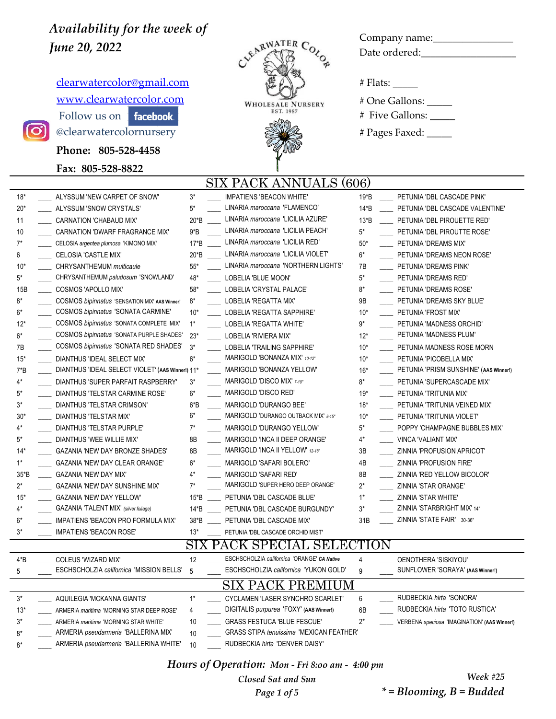$clearwatercolor@gmail.com$  # Flats: \_\_\_\_\_</u> WWW.clearwatercolor.com WHOLESALE NURSERY # One Gallons: Follow us on  $\begin{bmatrix} \mathsf{facebook} \end{bmatrix}$   $\begin{bmatrix} \mathsf{EST. 1987} \\ \mathsf{EST. 1987} \end{bmatrix}$  # Five Gallons:

**Phone: 805-528-4458** 

**Fax: 805-528-8822**

lO'



Company name:\_\_\_\_\_\_\_\_\_\_\_\_\_\_\_\_

### SIX PACK ANNUALS (606)

| $18*$ | ALYSSUM 'NEW CARPET OF SNOW'                     | $3*$   | <b>IMPATIENS 'BEACON WHITE'</b>                 | 19*B   | PETUNIA 'DBL CASCADE PINK'                   |
|-------|--------------------------------------------------|--------|-------------------------------------------------|--------|----------------------------------------------|
| $20*$ | ALYSSUM 'SNOW CRYSTALS'                          | $5*$   | LINARIA maroccana 'FLAMENCO'                    | $14*B$ | PETUNIA 'DBL CASCADE VALENTINE'              |
| 11    | CARNATION 'CHABAUD MIX'                          | 20*B   | LINARIA maroccana 'LICILIA AZURE'               | $13*B$ | PETUNIA 'DBL PIROUETTE RED'                  |
| 10    | CARNATION 'DWARF FRAGRANCE MIX'                  | $9*B$  | LINARIA maroccana 'LICILIA PEACH'               | $5*$   | PETUNIA 'DBL PIROUTTE ROSE'                  |
| $7^*$ | CELOSIA argentea plumosa 'KIMONO MIX'            | $17*B$ | LINARIA maroccana 'LICILIA RED'                 | $50*$  | PETUNIA 'DREAMS MIX'                         |
| 6     | <b>CELOSIA 'CASTLE MIX'</b>                      | 20*B   | LINARIA maroccana 'LICILIA VIOLET'              | $6*$   | PETUNIA 'DREAMS NEON ROSE'                   |
| $10*$ | CHRYSANTHEMUM multicaule                         | $55*$  | LINARIA maroccana 'NORTHERN LIGHTS'             | 7B     | PETUNIA 'DREAMS PINK'                        |
| $5^*$ | CHRYSANTHEMUM paludosum 'SNOWLAND'               | 48*    | LOBELIA 'BLUE MOON'                             | $5*$   | PETUNIA 'DREAMS RED'                         |
| 15B   | COSMOS 'APOLLO MIX'                              | 58*    | LOBELIA 'CRYSTAL PALACE'                        | 8*     | PETUNIA 'DREAMS ROSE'                        |
| 8*    | COSMOS bipinnatus 'SENSATION MIX' AAS Winner!    | $8*$   | LOBELIA 'REGATTA MIX'                           | 9Β     | PETUNIA 'DREAMS SKY BLUE'                    |
| 6*    | COSMOS bipinnatus 'SONATA CARMINE'               | $10*$  | LOBELIA 'REGATTA SAPPHIRE'                      | $10*$  | PETUNIA 'FROST MIX'                          |
| $12*$ | COSMOS bipinnatus 'SONATA COMPLETE MIX'          | $1^*$  | LOBELIA 'REGATTA WHITE'                         | $9*$   | PETUNIA 'MADNESS ORCHID'                     |
| $6*$  | COSMOS bipinnatus 'SONATA PURPLE SHADES'         | $23*$  | LOBELIA 'RIVIERA MIX'                           | $12*$  | PETUNIA 'MADNESS PLUM'                       |
| 7B    | COSMOS bipinnatus 'SONATA RED SHADES'            | $3^*$  | LOBELIA 'TRAILING SAPPHIRE'                     | $10*$  | PETUNIA MADNESS ROSE MORN                    |
| $15*$ | DIANTHUS 'IDEAL SELECT MIX'                      | $6*$   | MARIGOLD 'BONANZA MIX' 10-12"                   | $10*$  | PETUNIA 'PICOBELLA MIX'                      |
| $7*B$ | DIANTHUS 'IDEAL SELECT VIOLET' (AAS Winner!) 11* |        | MARIGOLD 'BONANZA YELLOW'                       | $16*$  | PETUNIA 'PRISM SUNSHINE' (AAS Winner!)       |
| $4*$  | DIANTHUS 'SUPER PARFAIT RASPBERRY'               | $3*$   | MARIGOLD 'DISCO MIX' 7-10"                      | $8*$   | PETUNIA 'SUPERCASCADE MIX'                   |
| $5^*$ | DIANTHUS 'TELSTAR CARMINE ROSE'                  | $6*$   | MARIGOLD 'DISCO RED'                            | $19*$  | PETUNIA 'TRITUNIA MIX'                       |
| $3^*$ | DIANTHUS 'TELSTAR CRIMSON'                       | 6*B    | MARIGOLD 'DURANGO BEE'                          | $18*$  | PETUNIA 'TRITUNIA VEINED MIX'                |
| $30*$ | DIANTHUS 'TELSTAR MIX'                           | $6*$   | MARIGOLD 'DURANGO OUTBACK MIX' 8-15"            | $10*$  | PETUNIA 'TRITUNIA VIOLET'                    |
| 4*    | DIANTHUS 'TELSTAR PURPLE'                        | $7^*$  | MARIGOLD 'DURANGO YELLOW'                       | $5*$   | POPPY 'CHAMPAGNE BUBBLES MIX'                |
| $5^*$ | DIANTHUS 'WEE WILLIE MIX'                        | 8B     | MARIGOLD 'INCA II DEEP ORANGE'                  | $4^*$  | <b>VINCA 'VALIANT MIX'</b>                   |
| $14*$ | GAZANIA 'NEW DAY BRONZE SHADES'                  | 8B     | MARIGOLD 'INCA II YELLOW' 12-18"                | 3B     | ZINNIA 'PROFUSION APRICOT'                   |
| $1^*$ | GAZANIA 'NEW DAY CLEAR ORANGE'                   | 6*     | MARIGOLD 'SAFARI BOLERO'                        | 4B     | ZINNIA 'PROFUSION FIRE'                      |
| 35*B  | <b>GAZANIA 'NEW DAY MIX'</b>                     | 4*     | MARIGOLD 'SAFARI RED'                           | 8B     | ZINNIA 'RED YELLOW BICOLOR'                  |
| $2^*$ | <b>GAZANIA 'NEW DAY SUNSHINE MIX'</b>            | $7*$   | MARIGOLD 'SUPER HERO DEEP ORANGE'               | $2^*$  | ZINNIA 'STAR ORANGE'                         |
| $15*$ | <b>GAZANIA 'NEW DAY YELLOW'</b>                  | 15*B   | PETUNIA 'DBL CASCADE BLUE'                      | $1^*$  | ZINNIA 'STAR WHITE'                          |
| $4^*$ | GAZANIA 'TALENT MIX' (silver foliage)            | $14*B$ | PETUNIA 'DBL CASCADE BURGUNDY'                  | $3*$   | ZINNIA 'STARBRIGHT MIX' 14"                  |
| 6*    | IMPATIENS 'BEACON PRO FORMULA MIX'               | 38*B   | PETUNIA 'DBL CASCADE MIX'                       | 31B    | ZINNIA 'STATE FAIR' 30-36"                   |
| $3^*$ | <b>IMPATIENS 'BEACON ROSE'</b>                   | $13*$  | PETUNIA 'DBL CASCADE ORCHID MIST'               |        |                                              |
|       |                                                  | SIX    | PACK SPECIAL SELECTION                          |        |                                              |
| 4*B   | COLEUS 'WIZARD MIX'                              | 12     | ESCHSCHOLZIA californica 'ORANGE' CA Native     | 4      | OENOTHERA 'SISKIYOU'                         |
| 5     | ESCHSCHOLZIA californica 'MISSION BELLS'         | 5      | ESCHSCHOLZIA californica 'YUKON GOLD'           | 9      | SUNFLOWER 'SORAYA' (AAS Winner!)             |
|       |                                                  |        | <b>PREMI</b><br>SIX.<br><b>PACK</b><br>IМ       |        |                                              |
| $3^*$ | AQUILEGIA 'MCKANNA GIANTS'                       | $1^*$  | CYCLAMEN 'LASER SYNCHRO SCARLET'                | 6      | RUDBECKIA hirta 'SONORA'                     |
| $13*$ | ARMERIA maritima 'MORNING STAR DEEP ROSE'        | 4      | DIGITALIS purpurea 'FOXY' (AAS Winner!)         | 6B     | RUDBECKIA hirta 'TOTO RUSTICA'               |
| $3*$  | ARMERIA maritima 'MORNING STAR WHITE'            | 10     | <b>GRASS FESTUCA 'BLUE FESCUE'</b>              | $2^*$  | VERBENA speciosa 'IMAGINATION' (AAS Winner!) |
| 8*    | ARMERIA pseudarmeria 'BALLERINA MIX'             | 10     | <b>GRASS STIPA tenuissima 'MEXICAN FEATHER'</b> |        |                                              |
| 8*    | ARMERIA pseudarmeria 'BALLERINA WHITE'           | 10     | RUDBECKIA hirta 'DENVER DAISY'                  |        |                                              |
|       |                                                  |        |                                                 |        |                                              |

*Hours of Operation: Mon - Fri 8:oo am - 4:00 pm*

*Closed Sat and Sun Page 1 of 5*

*Week #25 \* = Blooming, B = Budded*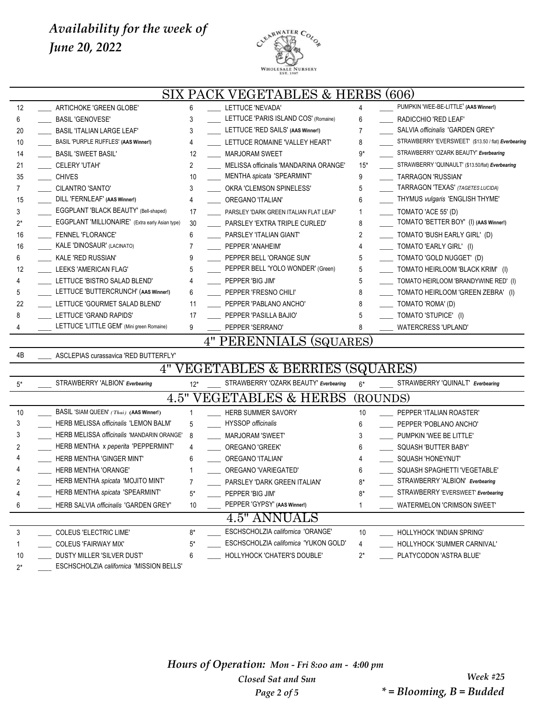

#### SIX PACK VEGETABLES & HERBS (606) \_\_\_\_ ARTICHOKE 'GREEN GLOBE' 6 \_\_\_\_ LETTUCE 'NEVADA' 4 \_\_\_\_ PUMPKIN 'WEE-BE-LITTLE' **(AAS Winner!)** \_\_\_\_ BASIL 'GENOVESE' 3 \_\_\_\_ LETTUCE 'PARIS ISLAND COS' (Romaine) 6 \_\_\_\_ RADICCHIO 'RED LEAF' \_\_\_\_ BASIL 'ITALIAN LARGE LEAF' 3 \_\_\_\_ LETTUCE 'RED SAILS' **(AAS Winner!)** 7 \_\_\_\_ SALVIA *officinalis* 'GARDEN GREY' \_\_\_\_ BASIL 'PURPLE RUFFLES' **(AAS Winner!)** 4 \_\_\_\_ LETTUCE ROMAINE 'VALLEY HEART' 8 \_\_\_\_ STRAWBERRY 'EVERSWEET' (\$13.50 / flat) *Everbearing* \_\_\_\_ BASIL 'SWEET BASIL' 12 \_\_\_\_ MARJORAM SWEET 9\* \_\_\_\_ STRAWBERRY 'OZARK BEAUTY' *Everbearing* \_\_\_\_ CELERY 'UTAH' 2 \_\_\_\_ MELISSA officinalis 'MANDARINA ORANGE' 15\* \_\_\_\_ STRAWBERRY 'QUINAULT' (\$13.50/flat) *Everbearing* \_\_\_\_ CHIVES 10 \_\_\_\_ MENTHA *spicata* 'SPEARMINT' 9 \_\_\_\_ TARRAGON 'RUSSIAN' \_\_\_\_ CILANTRO 'SANTO' 3 \_\_\_\_ OKRA 'CLEMSON SPINELESS' 5 \_\_\_\_ TARRAGON 'TEXAS' *(TAGETES LUCIDA)* \_\_\_\_ DILL 'FERNLEAF' **(AAS Winner!)** 4 \_\_\_\_ OREGANO 'ITALIAN' 6 \_\_\_\_ THYMUS *vulgaris* 'ENGLISH THYME' \_\_\_\_ EGGPLANT 'BLACK BEAUTY' (Bell-shaped) 17 \_\_\_\_ PARSLEY 'DARK GREEN ITALIAN FLAT LEAF' 1 \_\_\_\_ TOMATO 'ACE 55' (D) 2\* \_\_\_\_ EGGPLANT 'MILLIONAIRE' (Extra early Asian type) 30 \_\_\_\_ PARSLEY 'EXTRA TRIPLE CURLED' 8 \_\_\_\_ TOMATO 'BETTER BOY' (I) **(AAS Winner!)** \_\_\_\_ FENNEL 'FLORANCE' 6 \_\_\_\_ PARSLEY 'ITALIAN GIANT' 2 \_\_\_\_ TOMATO 'BUSH EARLY GIRL' (D) 16 \_\_\_\_ KALE 'DINOSAUR' (LACINATO) \_\_\_\_ PEPPER 'ANAHEIM'  $4$  \_\_\_ TOMATO 'EARLY GIRL' (I) \_\_\_\_ KALE 'RED RUSSIAN' 9 \_\_\_\_ PEPPER BELL 'ORANGE SUN' 5 \_\_\_\_ TOMATO 'GOLD NUGGET' (D) 12 \_\_\_\_ LEEKS 'AMERICAN FLAG' 5 \_\_\_\_ PEPPER BELL 'YOLO WONDER' (Green) 5 \_\_\_\_ TOMATO HEIRLOOM 'BLACK KRIM' (I) \_\_\_\_ LETTUCE 'BISTRO SALAD BLEND' 4 \_\_\_\_ PEPPER 'BIG JIM' 5 \_\_\_\_ TOMATO HEIRLOOM 'BRANDYWINE RED' (I) \_\_\_\_ LETTUCE 'BUTTERCRUNCH' (**AAS Winner!)** 6 \_\_\_\_ PEPPER 'FRESNO CHILI' 8 \_\_\_\_ TOMATO HEIRLOOM 'GREEN ZEBRA' (I) \_\_\_\_ LETTUCE 'GOURMET SALAD BLEND' 11 \_\_\_\_ PEPPER 'PABLANO ANCHO' 8 \_\_\_\_ TOMATO 'ROMA' (D) 8 \_\_\_\_\_ LETTUCE 'GRAND RAPIDS' 17 \_\_\_\_\_ PEPPER 'PASILLA BAJIO' 5 \_\_\_\_ TOMATO 'STUPICE' (I) \_\_\_\_ LETTUCE 'LITTLE GEM' (Mini green Romaine) 9 \_\_\_\_ PEPPER 'SERRANO' 8 \_\_\_\_ WATERCRESS 'UPLAND' 4" PERENNIALS (SQUARES) 4B \_\_\_\_ ASCLEPIAS curassavica 'RED BUTTERFLY' 4" VEGETABLES & BERRIES (SQUARES) 5\* STRAWBERRY 'ALBION' *Everbearing* 12\* STRAWBERRY 'OZARK BEAUTY' *Everbearing* 6\* STRAWBERRY 'QUINALT' *Everbearing* 4.5" VEGETABLES & HERBS (ROUNDS) \_\_\_\_ BASIL 'SIAM QUEEN' *(Thai)* **(AAS Winner!)** 1 \_\_\_\_ HERB SUMMER SAVORY 10 \_\_\_\_ PEPPER 'ITALIAN ROASTER' \_\_\_\_ HERB MELISSA *officinalis* 'LEMON BALM' 5 \_\_\_\_ HYSSOP *officinalis* 6 \_\_\_\_ PEPPER 'POBLANO ANCHO' \_\_\_\_ HERB MELISSA *officinalis* 'MANDARIN ORANGE' 8 \_\_\_\_ MARJORAM 'SWEET' 3 \_\_\_\_ PUMPKIN 'WEE BE LITTLE' \_\_\_\_ HERB MENTHA x *peperita* 'PEPPERMINT' 4 \_\_\_\_ OREGANO 'GREEK' 6 \_\_\_\_ SQUASH 'BUTTER BABY' \_\_\_\_ HERB MENTHA 'GINGER MINT' 6 \_\_\_\_ OREGANO 'ITALIAN' 4 \_\_\_\_ SQUASH 'HONEYNUT' \_\_\_\_ HERB MENTHA 'ORANGE' 1 \_\_\_\_ OREGANO 'VARIEGATED' 6 \_\_\_\_ SQUASH SPAGHETTI 'VEGETABLE' \_\_\_\_ HERB MENTHA *spicata* 'MOJITO MINT' 7 \_\_\_\_ PARSLEY 'DARK GREEN ITALIAN' 8\* \_\_\_\_ STRAWBERRY 'ALBION' *Everbearing* \_\_\_\_ HERB MENTHA *spicata* 'SPEARMINT' 5\* \_\_\_\_ PEPPER 'BIG JIM' 8\* \_\_\_\_ STRAWBERRY 'EVERSWEET' *Everbearing* \_\_\_\_ HERB SALVIA *officinalis* 'GARDEN GREY' 10 \_\_\_\_ PEPPER 'GYPSY' **(AAS Winner!)** 1 \_\_\_\_ WATERMELON 'CRIMSON SWEET' 4.5" ANNUALS

| COLEUS 'ELECTRIC LIME'                          |    | ESCHSCHOLZIA californica 'ORANGE'            | HOLLYHOCK 'INDIAN SPRING'   |
|-------------------------------------------------|----|----------------------------------------------|-----------------------------|
| COLEUS 'FAIRWAY MIX'                            | ۳. | <b>ESCHSCHOLZIA californica 'YUKON GOLD'</b> | HOLLYHOCK 'SUMMER CARNIVAL' |
| DUSTY MILLER 'SILVER DUST'                      |    | HOLLYHOCK 'CHATER'S DOUBLE'                  | PLATYCODON 'ASTRA BLUE'     |
| <b>ESCHSCHOLZIA californica 'MISSION BELLS'</b> |    |                                              |                             |

*Hours of Operation: Mon - Fri 8:oo am - 4:00 pm Closed Sat and Sun Page 2 of 5*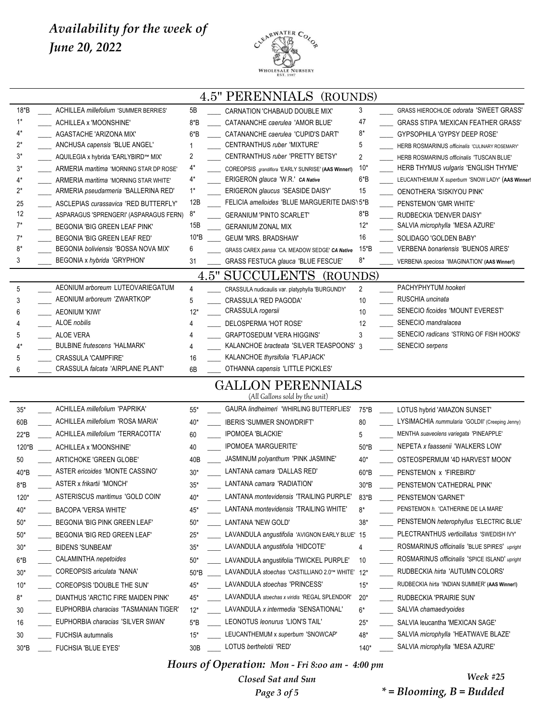

|          |                                                               |                 | <b>4.5" PERENNIALS</b><br>(ROUNDS)                                                         |        |                                                             |
|----------|---------------------------------------------------------------|-----------------|--------------------------------------------------------------------------------------------|--------|-------------------------------------------------------------|
| 18*B     | <b>ACHILLEA millefolium 'SUMMER BERRIES'</b>                  | 5Β              | CARNATION 'CHABAUD DOUBLE MIX'                                                             | 3      | GRASS HIEROCHLOE odorata 'SWEET GRASS'                      |
| $1^*$    | ACHILLEA x 'MOONSHINE'                                        | $8*B$           | CATANANCHE caerulea 'AMOR BLUE'                                                            | 47     | <b>GRASS STIPA 'MEXICAN FEATHER GRASS'</b>                  |
| 4*       | AGASTACHE 'ARIZONA MIX'                                       | $6*B$           | CATANANCHE caerulea 'CUPID'S DART'                                                         | 8*     | GYPSOPHILA 'GYPSY DEEP ROSE'                                |
| 2*       | ANCHUSA capensis 'BLUE ANGEL'                                 |                 | CENTRANTHUS ruber 'MIXTURE'                                                                | 5      | HERB ROSMARINUS officinalis 'CULINARY ROSEMARY'             |
| 3*       | AQUILEGIA x hybrida 'EARLYBIRD™ MIX'                          | 2               | CENTRANTHUS ruber 'PRETTY BETSY'                                                           | 2      | HERB ROSMARINUS officinalis 'TUSCAN BLUE'                   |
| 3*       | ARMERIA <i>maritima</i> 'MORNING STAR DP ROSE'                | 4*              | COREOPSIS grandiflora 'EARLY SUNRISE' (AAS Winner!)                                        | $10*$  | HERB THYMUS <i>vulgaris</i> 'ENGLISH THYME'                 |
| 4*       | ARMERIA <i>maritima</i> 'MORNING STAR WHITE'                  | 4*              | ERIGERON glauca 'W.R.' CA Native                                                           | $6*B$  | LEUCANTHEMUM X superbum 'SNOW LADY' (AAS Winner!            |
| 2*       | ARMERIA pseudarmeria 'BALLERINA RED'                          | $1^*$           | ERIGERON glaucus 'SEASIDE DAISY'                                                           | 15     | OENOTHERA 'SISKIYOU PINK'                                   |
| 25<br>12 | <b>ASCLEPIAS curassavica 'RED BUTTERFLY'</b>                  | 12B<br>$8*$     | FELICIA amelloides 'BLUE MARGUERITE DAIS' 5*B                                              | $8*B$  | PENSTEMON 'GMR WHITE'                                       |
| $7^*$    | ASPARAGUS 'SPRENGERI' (ASPARAGUS FERN)                        | 15B             | <b>GERANIUM 'PINTO SCARLET'</b>                                                            | $12*$  | RUDBECKIA 'DENVER DAISY'<br>SALVIA microphylla 'MESA AZURE' |
| $7^*$    | BEGONIA 'BIG GREEN LEAF PINK'<br>BEGONIA 'BIG GREEN LEAF RED' | 10*B            | <b>GERANIUM ZONAL MIX</b><br><b>GEUM 'MRS. BRADSHAW'</b>                                   | 16     | SOLIDAGO 'GOLDEN BABY'                                      |
| 8*       | BEGONIA boliviensis 'BOSSA NOVA MIX'                          | 6               | GRASS CAREX pansa 'CA. MEADOW SEDGE' CA Native                                             | 15*B   | <b>VERBENA bonariensis 'BUENOS AIRES'</b>                   |
| 3        | BEGONIA x hybrida 'GRYPHON'                                   | 31              | <b>GRASS FESTUCA glauca 'BLUE FESCUE'</b>                                                  | 8*     | VERBENA speciosa 'IMAGINATION' (AAS Winner!)                |
|          |                                                               | 4.5"            | <b>SUCCULENTS</b><br>(ROUNDS)                                                              |        |                                                             |
| 5        | AEONIUM arboreum LUTEOVARIEGATUM                              | 4               | CRASSULA nudicaulis var. platyphylla 'BURGUNDY'                                            | 2      | PACHYPHYTUM hookeri                                         |
| 3        | AEONIUM arboreum 'ZWARTKOP'                                   | 5               | <b>CRASSULA 'RED PAGODA'</b>                                                               | 10     | RUSCHIA uncinata                                            |
| 6        | <b>AEONIUM 'KIWI'</b>                                         | $12*$           | CRASSULA rogersii                                                                          | 10     | SENECIO ficoides 'MOUNT EVEREST'                            |
| 4        | <b>ALOE</b> nobilis                                           | 4               | DELOSPERMA 'HOT ROSE'                                                                      | 12     | SENECIO mandralacea                                         |
| 5        | <b>ALOE VERA</b>                                              |                 | <b>GRAPTOSEDUM 'VERA HIGGINS'</b>                                                          | 3      | SENECIO radicans 'STRING OF FISH HOOKS'                     |
| 4*       | <b>BULBINE frutescens 'HALMARK'</b>                           |                 | KALANCHOE bracteata 'SILVER TEASPOONS' 3                                                   |        | SENECIO serpens                                             |
| 5        | <b>CRASSULA 'CAMPFIRE'</b>                                    | 16              | KALANCHOE thyrsifolia 'FLAPJACK'                                                           |        |                                                             |
| 6        | <b>CRASSULA falcata 'AIRPLANE PLANT'</b>                      | 6B              | OTHANNA capensis 'LITTLE PICKLES'                                                          |        |                                                             |
|          |                                                               |                 | <b>GALLON PERENNIALS</b><br>(All Gallons sold by the unit)                                 |        |                                                             |
| $35*$    | ACHILLEA millefolium 'PAPRIKA'                                | $55*$           | GAURA lindheimeri 'WHIRLING BUTTERFLIES'                                                   | 75*B   | LOTUS hybrid 'AMAZON SUNSET'                                |
| 60B      | ACHILLEA millefolium 'ROSA MARIA'                             | $40*$           | <b>IBERIS 'SUMMER SNOWDRIFT'</b>                                                           | 80     | LYSIMACHIA nummularia 'GOLDII' (Creeping Jenny)             |
| 22*B     | <b>ACHILLEA millefolium 'TERRACOTTA'</b>                      | 60              | <b>IPOMOEA 'BLACKIE'</b>                                                                   | 5      | MENTHA suaveolens variegata 'PINEAPPLE'                     |
| 120*B    | ACHILLEA x 'MOONSHINE'                                        | 40              | <b>IPOMOEA 'MARGUERITE'</b>                                                                | 50*B   | NEPETA x faassenii 'WALKERS LOW'                            |
| 50       | ARTICHOKE 'GREEN GLOBE'                                       | 40B             | JASMINUM polyanthum 'PINK JASMINE'                                                         | 40*    | OSTEOSPERMUM '4D HARVEST MOON'                              |
| 40*B     | ASTER ericoides 'MONTE CASSINO'                               | $30*$           | LANTANA camara 'DALLAS RED'                                                                | 60*B   | PENSTEMON x 'FIREBIRD'                                      |
| $8*B$    | <b>ASTER x frikartii 'MONCH'</b>                              | $35*$           | LANTANA camara 'RADIATION'                                                                 | $30*B$ | PENSTEMON 'CATHEDRAL PINK'                                  |
| $120*$   | ASTERISCUS maritimus 'GOLD COIN'                              | $40*$           | LANTANA <i>montevidensis</i> 'TRAILING PURPLE'                                             | 83*B   | PENSTEMON 'GARNET'                                          |
| $40*$    | <b>BACOPA 'VERSA WHITE'</b>                                   | 45*             | LANTANA montevidensis 'TRAILING WHITE'                                                     | $8*$   | PENSTEMON h. 'CATHERINE DE LA MARE'                         |
| $50*$    | BEGONIA 'BIG PINK GREEN LEAF'                                 | $50*$           | LANTANA 'NEW GOLD'                                                                         | $38*$  | PENSTEMON heterophyllus 'ELECTRIC BLUE'                     |
| $50*$    | BEGONIA 'BIG RED GREEN LEAF'                                  | $25*$           | LAVANDULA angustifolia 'AVIGNON EARLY BLUE' 15                                             |        | PLECTRANTHUS verticillatus 'SWEDISH IVY'                    |
| $30*$    | <b>BIDENS 'SUNBEAM'</b>                                       | $35*$           | LAVANDULA angustifolia 'HIDCOTE'                                                           | 4      | ROSMARINUS officinalis 'BLUE SPIRES' upright                |
|          | CALAMINTHA nepetoides                                         |                 |                                                                                            |        | ROSMARINUS officinalis 'SPICE ISLAND' upright               |
| $6*B$    | COREOPSIS ariculata 'NANA'                                    | $50*$           | LAVANDULA angustifolia 'TWICKEL PURPLE'<br>LAVANDULA stoechas 'CASTILLIANO 2.0™ WHITE' 12* | 10     | RUDBECKIA hirta 'AUTUMN COLORS'                             |
| $30*$    |                                                               | 50*B            | LAVANDULA stoechas 'PRINCESS'                                                              |        |                                                             |
| $10*$    | COREOPSIS 'DOUBLE THE SUN'                                    | 45*             |                                                                                            | $15*$  | RUDBECKIA hirta 'INDIAN SUMMER' (AAS Winner!)               |
| 8*       | DIANTHUS 'ARCTIC FIRE MAIDEN PINK'                            | 45*             | LAVANDULA stoechas x viridis 'REGAL SPLENDOR'                                              | $20*$  | RUDBECKIA 'PRAIRIE SUN'                                     |
| 30       | EUPHORBIA characias 'TASMANIAN TIGER'                         | $12*$           | LAVANDULA x intermedia 'SENSATIONAL'                                                       | $6*$   | SALVIA chamaedryoides                                       |
| 16       | EUPHORBIA characias 'SILVER SWAN'                             | $5*B$           | LEONOTUS leonurus 'LION'S TAIL'                                                            | $25*$  | SALVIA leucantha 'MEXICAN SAGE'                             |
| 30       | FUCHSIA autumnalis                                            | $15*$           | LEUCANTHEMUM x superbum 'SNOWCAP'                                                          | 48*    | SALVIA microphylla 'HEATWAVE BLAZE'                         |
| $30*B$   | FUCHSIA 'BLUE EYES'                                           | 30 <sub>B</sub> | LOTUS berthelotii 'RED'                                                                    | $140*$ | SALVIA microphylla 'MESA AZURE'                             |

*Hours of Operation: Mon - Fri 8:oo am - 4:00 pm*

*Closed Sat and Sun Page 3 of 5*

*Week #25 \* = Blooming, B = Budded*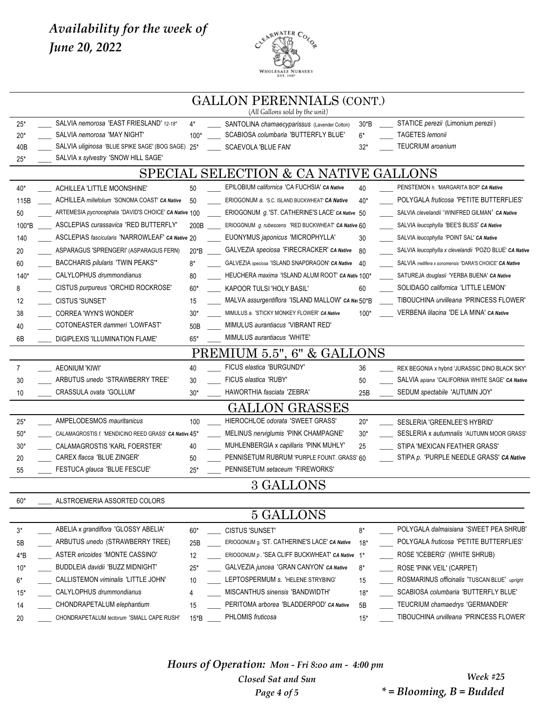

|        |                                                       |                 | <b>GALLON PERENNIALS (CONT.)</b><br>(All Gallons sold by the unit) |        |                                                         |
|--------|-------------------------------------------------------|-----------------|--------------------------------------------------------------------|--------|---------------------------------------------------------|
| $25*$  | SALVIA nemorosa 'EAST FRIESLAND' 12-18"               | 4*              | SANTOLINA chamaecyparissus (Lavender Cotton)                       | $30*B$ | STATICE perezii (Limonium perezii)                      |
| $20*$  | SALVIA nemorosa 'MAY NIGHT'                           | $100*$          | SCABIOSA columbaria 'BUTTERFLY BLUE'                               | $6*$   | TAGETES lemonii                                         |
| 40B    | SALVIA uliginosa 'BLUE SPIKE SAGE' (BOG SAGE) 25*     |                 | SCAEVOLA 'BLUE FAN'                                                | $32*$  | <b>TEUCRIUM</b> aroanium                                |
| $25*$  | SALVIA x sylvestry 'SNOW HILL SAGE'                   |                 |                                                                    |        |                                                         |
|        |                                                       |                 | SPECIAL SELECTION & CA NATIVE GALLONS                              |        |                                                         |
| $40*$  | ACHILLEA 'LITTLE MOONSHINE'                           | 50              | EPILOBIUM californica 'CA FUCHSIA' CA Native                       | 40     | PENSTEMON h. 'MARGARITA BOP' CA Native                  |
| 115B   | ACHILLEA millefolium 'SONOMA COAST' CA Native         | 50              | ERIOGONUM a. 'S.C. ISLAND BUCKWHEAT' CA Native                     | $40*$  | POLYGALA fruticosa 'PETITE BUTTERFLIES'                 |
| 50     | ARTEMESIA pycnocephala 'DAVID'S CHOICE' CA Native 100 |                 | ERIOGONUM <i>g</i> . 'ST. CATHERINE'S LACE' CA Native 50           |        | SALVIA clevelandii 'WINIFRED GILMAN' CA Native          |
| 100*B  | <b>ASCLEPIAS curassavica 'RED BUTTERFLY'</b>          | 200B            | ERIOGONUM g. rubescens 'RED BUCKWHEAT' CA Native 60                |        | SALVIA leucophylla 'BEE'S BLISS' CA Native              |
| 140    | ASCLEPIAS fascicularis 'NARROWLEAF' CA Native 20      |                 | EUONYMUS japonicus 'MICROPHYLLA'                                   | 30     | SALVIA leucophylla 'POINT SAL' CA Native                |
| 20     | ASPARAGUS 'SPRENGERI' (ASPARAGUS FERN)                | $20*B$          | GALVEZIA speciosa 'FIRECRACKER' CA Native                          | 80     | SALVIA leucophylla x clevelandii 'POZO BLUE' CA Native  |
| 60     | BACCHARIS pilularis 'TWIN PEAKS'*                     | 8*              | GALVEZIA speciosa 'ISLAND SNAPDRAGON' CA Native                    | - 40   | SALVIA mellifera x sonomensis 'DARA'S CHOICE' CA Native |
| $140*$ | CALYLOPHUS drummondianus                              | 80              | HEUCHERA maxima 'ISLAND ALUM ROOT' CA Nativ 100*                   |        | SATUREJA douglasii 'YERBA BUENA' CA Native              |
| 8      | CISTUS purpureus 'ORCHID ROCKROSE'                    | $60*$           | KAPOOR TULSI 'HOLY BASIL'                                          | 60     | SOLIDAGO californica 'LITTLE LEMON'                     |
| 12     | <b>CISTUS 'SUNSET'</b>                                | 15              | MALVA assurgentiflora 'ISLAND MALLOW' CA Nai 50*B                  |        | TIBOUCHINA urvilleana 'PRINCESS FLOWER'                 |
| 38     | <b>CORREA 'WYN'S WONDER'</b>                          | $30*$           | MIMULUS a. 'STICKY MONKEY FLOWER' CA Native                        | $100*$ | VERBENA lilacina 'DE LA MINA' CA Native                 |
| 40     | COTONEASTER dammeri 'LOWFAST'                         | 50 <sub>B</sub> | MIMULUS aurantiacus 'VIBRANT RED'                                  |        |                                                         |
| 6B     | DIGIPLEXIS 'ILLUMINATION FLAME'                       | 65*             | MIMULUS aurantiacus 'WHITE'                                        |        |                                                         |
|        |                                                       |                 | MIUM 5.5", 6" & GALLONS                                            |        |                                                         |
| 7      | <b>AEONIUM 'KIWI'</b>                                 | 40              | FICUS elastica 'BURGUNDY'                                          | 36     | REX BEGONIA x hybrid 'JURASSIC DINO BLACK SKY'          |
| 30     | ARBUTUS unedo 'STRAWBERRY TREE'                       | 30              | FICUS elastica 'RUBY'                                              | 50     | SALVIA apiana 'CALIFORNIA WHITE SAGE' CA Native         |
| 10     | CRASSULA ovata 'GOLLUM'                               | $30*$           | HAWORTHIA fasciata 'ZEBRA'                                         | 25B    | SEDUM spectabile 'AUTUMN JOY'                           |
|        |                                                       |                 | GALLON GRASSES                                                     |        |                                                         |
| $25*$  | <b>AMPELODESMOS</b> mauritanicus                      | 100             | <b>HIEROCHLOE odorata 'SWEET GRASS'</b>                            | $20*$  | SESLERIA 'GREENLEE'S HYBRID'                            |
| $50*$  | CALAMAGROSTIS f. 'MENDICINO REED GRASS' CA Native 45* |                 | MELINUS nerviglumis 'PINK CHAMPAGNE'                               | $30*$  | SESLERIA x autumnalis 'AUTUMN MOOR GRASS'               |
| $30*$  | CALAMAGROSTIS 'KARL FOERSTER'                         | 40              | MUHLENBERGIA x capillaris 'PINK MUHLY'                             | 25     | STIPA 'MEXICAN FEATHER GRASS'                           |
| 20     | CAREX flacca 'BLUE ZINGER'                            | 50              | PENNISETUM RUBRUM 'PURPLE FOUNT. GRASS' 60                         |        | STIPA p. 'PURPLE NEEDLE GRASS' CA Native                |
| 55     | FESTUCA glauca 'BLUE FESCUE'                          | $25*$           | PENNISETUM setaceum 'FIREWORKS'                                    |        |                                                         |
|        |                                                       |                 | 3 GALLONS                                                          |        |                                                         |
| $60*$  | ALSTROEMERIA ASSORTED COLORS                          |                 |                                                                    |        |                                                         |
|        |                                                       |                 | 5 GALLONS                                                          |        |                                                         |
| $3^*$  | ABELIA x grandiflora 'GLOSSY ABELIA'                  | $60*$           | <b>CISTUS 'SUNSET'</b>                                             | $8*$   | POLYGALA dalmaisiana 'SWEET PEA SHRUB'                  |
| 5B     | ARBUTUS unedo (STRAWBERRY TREE)                       | 25B             | ERIOGONUM g. 'ST. CATHERINE'S LACE' CA Native                      | $18*$  | POLYGALA fruticosa 'PETITE BUTTERFLIES'                 |
| $4*B$  | ASTER ericoides 'MONTE CASSINO'                       | 12              | ERIOGONUM p. 'SEA CLIFF BUCKWHEAT' CA Native                       | $1^*$  | ROSE 'ICEBERG' (WHITE SHRUB)                            |
| 10*    | BUDDLEIA davidii 'BUZZ MIDNIGHT'                      | $25*$           | GALVEZIA juncea 'GRAN CANYON' CA Native                            | $8*$   | ROSE 'PINK VEIL' (CARPET)                               |
| 6*     | CALLISTEMON viminalis 'LITTLE JOHN'                   | 10              | LEPTOSPERMUM s. 'HELENE STRYBING'                                  | 15     | ROSMARINUS officinalis 'TUSCAN BLUE' upright            |
| $15*$  | CALYLOPHUS drummondianus                              | 4               | MISCANTHUS sinensis 'BANDWIDTH'                                    | $18*$  | SCABIOSA columbaria 'BUTTERFLY BLUE'                    |
| 14     | CHONDRAPETALUM elephantium                            | 15              | PERITOMA arborea 'BLADDERPOD' CA Native                            | 5B     | TEUCRIUM chamaedrys 'GERMANDER'                         |
| 20     | CHONDRAPETALUM tectorum 'SMALL CAPE RUSH'             | $15*B$          | PHLOMIS fruticosa                                                  | $15*$  | TIBOUCHINA urvilleana 'PRINCESS FLOWER'                 |

Hours of Operation: Mon - Fri 8:00 am - 4:00 pm Closed Sat and Sun Page 4 of 5

**Week #25**  $*$  = Blooming,  $B$  = Budded